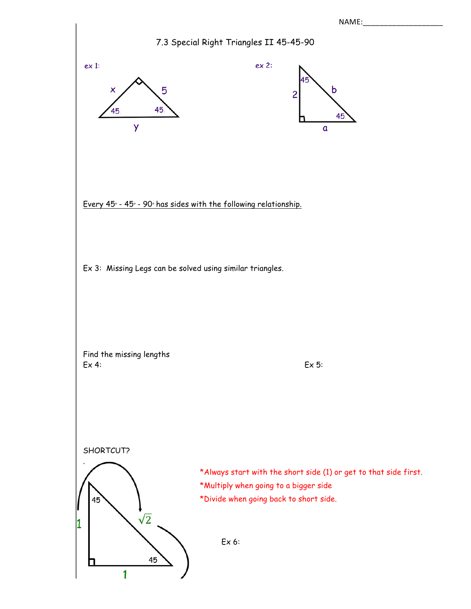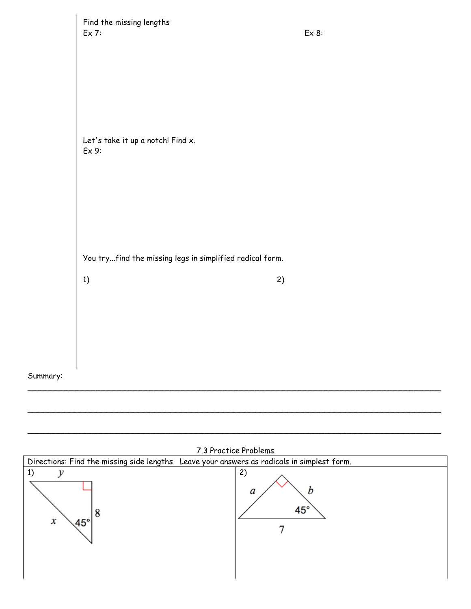|          | Find the missing lengths<br>Ex 7:                              | Ex 8: |
|----------|----------------------------------------------------------------|-------|
|          | Let's take it up a notch! Find x.<br>Ex9:                      |       |
|          | You tryfind the missing legs in simplified radical form.<br>1) | 2)    |
| Summary: |                                                                |       |



 $\mathcal{L}_\mathcal{L} = \{ \mathcal{L}_\mathcal{L} = \{ \mathcal{L}_\mathcal{L} = \{ \mathcal{L}_\mathcal{L} = \{ \mathcal{L}_\mathcal{L} = \{ \mathcal{L}_\mathcal{L} = \{ \mathcal{L}_\mathcal{L} = \{ \mathcal{L}_\mathcal{L} = \{ \mathcal{L}_\mathcal{L} = \{ \mathcal{L}_\mathcal{L} = \{ \mathcal{L}_\mathcal{L} = \{ \mathcal{L}_\mathcal{L} = \{ \mathcal{L}_\mathcal{L} = \{ \mathcal{L}_\mathcal{L} = \{ \mathcal{L}_\mathcal{$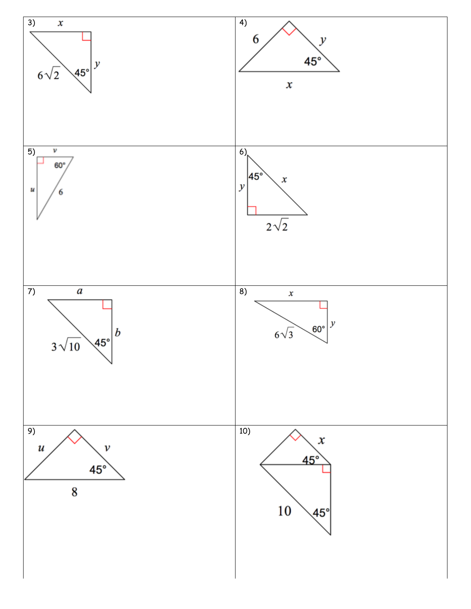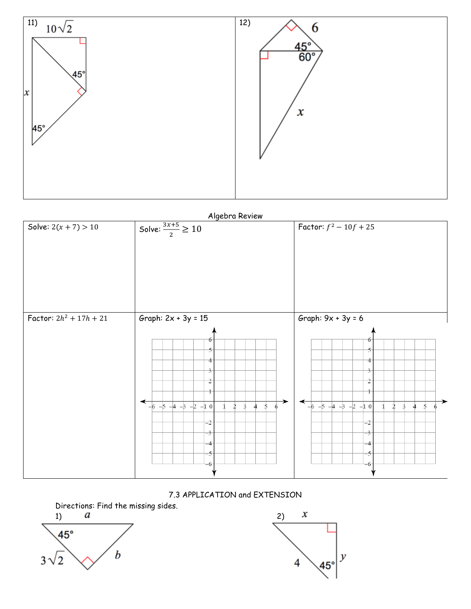

Algebra Review



7.3 APPLICATION and EXTENSION